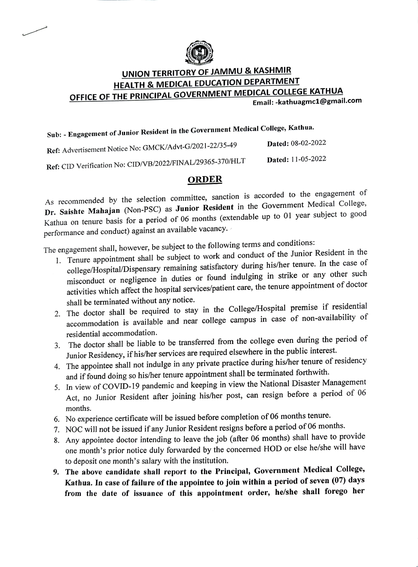

## UNION TERRITORY OF JAMMU & KASHMIR HEALTH & MEDICAL EDUCATION DEPARTMENT OFFICE OF THE PRINCIPAL GOVERNMENT MEDICAL COLLEGE KATHUA

Email: -kathuagmc1@gmail.com

## Sub: Engagement of Junior Resident in the Government Medical College, Kathua.

| Ref: Advertisement Notice No: GMCK/Advt-G/2021-22/35-49   | <b>Dated: 08-02-2022</b> |
|-----------------------------------------------------------|--------------------------|
| Ref: CID Verification No: CID/VB/2022/FINAL/29365-370/HLT | <b>Dated:</b> 11-05-2022 |

## ORDER

As recommended by the selection committee, sanction is accorded to the engagement of Dr. Saishte Mahajan (Non-PSC) as Junior Resident in the Government Medical College, Kathua on tenure basis for a period of 06 months (extendable up to 01 year subject to good performance and conduct) against an available vacancy.

The engagement shall, however, be subject to the following terms and conditions:

- 1. Tenure appointment shall be subject to work and conduct of the Junior Resident in the college/Hospital/Dispensary remaining satisfactory during his/her tenure. In the case of misconduct or negligence in duties or found indulging in strike or any other such activities which affect the hospital services/patient care, the tenure appointment of doctor shall be terminated without any notice.
- 2. The doctor shall be required to stay in the College/Hospital premise if residential accommodation is available and near college campus in case of non-availability of residential accommodation.
- 3. The doctor shall be liable to be transferred from the college even during the period of Junior Residency, if his/her services are required elsewhere in the public interest.
- 4. The appointee shall not indulge in any private practice during his/her tenure of residency and if found doing so his/her tenure appointment shall be terminated forthwith.
- 5. In view of COVID-19 pandemic and keeping in view the National Disaster Management Act, no Junior Resident after joining his/her post, can resign before a period of 06 months.
- 6. No experience certificate will be issued before completion of 06 months tenure.
- 7. NOC will not be issued if any Junior Resident resigns before a period of 06 months.
- 8. Any appointee doctor intending to leave the job (after 06 months) shall have to provide one month's prior notice duly forwarded by the concerned HOD or else he/she will have to deposit one month's salary with the institution.
- 9. The above candidate shall report to the Principal, Government Medical College, Kathua. In case of failure of the appointee to join within a period of seven (07) days from the date of issuance of this appointment order, he/she shall forego her